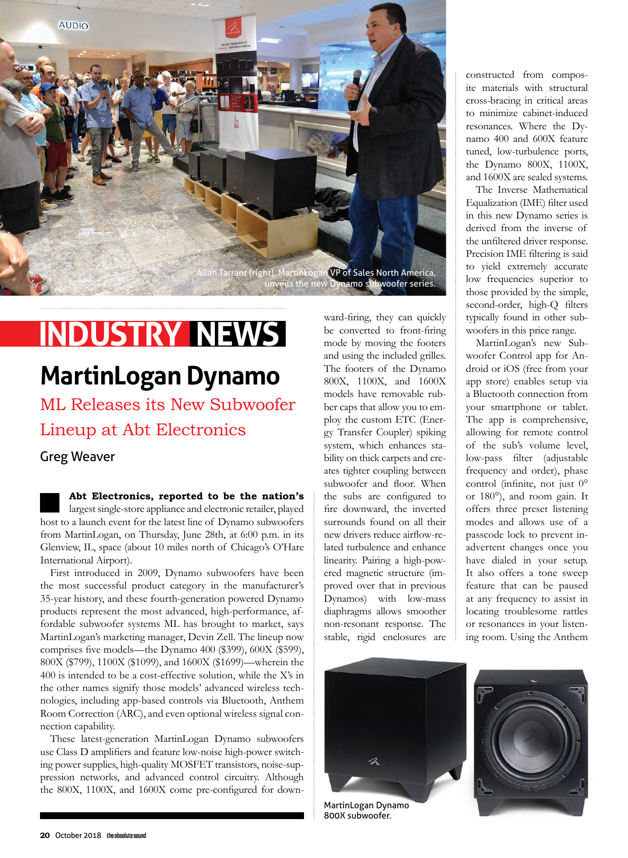

# **INDUSTRY NEWS**

## **MartinLogan Dynamo**

ML Releases its New Subwoofer Lineup at Abt Electronics

### Greg Weaver

**Abt Electronics, reported to be the nation's**  largest single-store appliance and electronic retailer, played host to a launch event for the latest line of Dynamo subwoofers from MartinLogan, on Thursday, June 28th, at 6:00 p.m. in its Glenview, IL, space (about 10 miles north of Chicago's O'Hare International Airport).

First introduced in 2009, Dynamo subwoofers have been the most successful product category in the manufacturer's 35-year history, and these fourth-generation powered Dynamo products represent the most advanced, high-performance, affordable subwoofer systems ML has brought to market, says MartinLogan's marketing manager, Devin Zell. The lineup now comprises five models—the Dynamo 400 (\$399), 600X (\$599), 800X (\$799), 1100X (\$1099), and 1600X (\$1699)—wherein the 400 is intended to be a cost-effective solution, while the X's in the other names signify those models' advanced wireless technologies, including app-based controls via Bluetooth, Anthem Room Correction (ARC), and even optional wireless signal connection capability.

These latest-generation MartinLogan Dynamo subwoofers use Class D amplifiers and feature low-noise high-power switching power supplies, high-quality MOSFET transistors, noise-suppression networks, and advanced control circuitry. Although the 800X, 1100X, and 1600X come pre-configured for down-

ward-firing, they can quickly be converted to front-firing mode by moving the footers and using the included grilles. The footers of the Dynamo 800X, 1100X, and 1600X models have removable rubber caps that allow you to employ the custom ETC (Energy Transfer Coupler) spiking system, which enhances stability on thick carpets and creates tighter coupling between subwoofer and floor. When the subs are configured to fire downward, the inverted surrounds found on all their new drivers reduce airflow-related turbulence and enhance linearity. Pairing a high-powered magnetic structure (improved over that in previous Dynamos) with low-mass diaphragms allows smoother non-resonant response. The stable, rigid enclosures are

constructed from composite materials with structural cross-bracing in critical areas to minimize cabinet-induced resonances. Where the Dynamo 400 and 600X feature tuned, low-turbulence ports, the Dynamo 800X, 1100X, and 1600X are sealed systems.

The Inverse Mathematical Equalization (IME) filter used in this new Dynamo series is derived from the inverse of the unfiltered driver response. Precision IME filtering is said to yield extremely accurate low frequencies superior to those provided by the simple, second-order, high-Q filters typically found in other subwoofers in this price range.

MartinLogan's new Subwoofer Control app for Android or iOS (free from your app store) enables setup via a Bluetooth connection from your smartphone or tablet. The app is comprehensive, allowing for remote control of the sub's volume level, low-pass filter (adjustable frequency and order), phase control (infinite, not just 0° or 180°), and room gain. It offers three preset listening modes and allows use of a passcode lock to prevent inadvertent changes once you have dialed in your setup. It also offers a tone sweep feature that can be paused at any frequency to assist in locating troublesome rattles or resonances in your listening room. Using the Anthem





800X subwoofer.